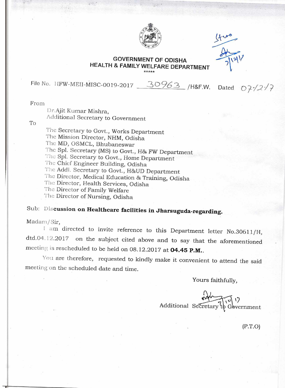

## GOVERNMENT OF OD1SHA HEALTH & FAMILY WELFARE DEPARTMENT

File No. 1IFW-MEII-MISC-0019-2017 30963 /H&F.W. Dated  $07/27$ 

From

Dr.Ajit Kumar Mishra, Additional Secretary to Government

To

The Secretary to Govt., Works Department The Mission Director, NHM, Odisha The MD, OSMCL, Bhubaneswar The Spl. Secretary (MS) to Govt., H& FW Department The Spl. Secretary to Govt., Home Department The Chief Engineer Building, Odisha The Addl. Secretary to Govt., H&UD Department The Director, Medical Education & Training, Odisha The Director, Health Services, Odisha The Director of Family Welfare The Director of Nursing, Odisha

Sub: Discussion **on Healthcare facilities in Jharsuguda-regarding.** 

Madam/Sir,

I am directed to invite reference to this Department letter No.30611/H, dtd.04.12.2017 on the subject cited above and to say that the aforementioned meeting is rescheduled to be held on 08.12.2017 at **04.45 P.M..** 

You are therefore, requested to kindly make it convenient to attend the said meeting on the scheduled date and time.

Yours faithfully,

Additional Secretary to Government

(P.T.0)